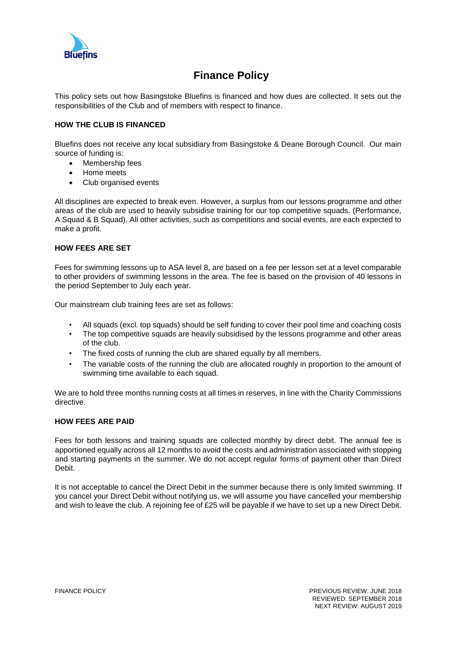

# **Finance Policy**

This policy sets out how Basingstoke Bluefins is financed and how dues are collected. It sets out the responsibilities of the Club and of members with respect to finance.

## **HOW THE CLUB IS FINANCED**

Bluefins does not receive any local subsidiary from Basingstoke & Deane Borough Council. Our main source of funding is:

- Membership fees
- Home meets
- Club organised events

All disciplines are expected to break even. However, a surplus from our lessons programme and other areas of the club are used to heavily subsidise training for our top competitive squads. (Performance, A Squad & B Squad). All other activities, such as competitions and social events, are each expected to make a profit.

#### **HOW FEES ARE SET**

Fees for swimming lessons up to ASA level 8, are based on a fee per lesson set at a level comparable to other providers of swimming lessons in the area. The fee is based on the provision of 40 lessons in the period September to July each year.

Our mainstream club training fees are set as follows:

- All squads (excl. top squads) should be self funding to cover their pool time and coaching costs
- The top competitive squads are heavily subsidised by the lessons programme and other areas of the club.
- The fixed costs of running the club are shared equally by all members.
- The variable costs of the running the club are allocated roughly in proportion to the amount of swimming time available to each squad.

We are to hold three months running costs at all times in reserves, in line with the Charity Commissions directive.

#### **HOW FEES ARE PAID**

Fees for both lessons and training squads are collected monthly by direct debit. The annual fee is apportioned equally across all 12 months to avoid the costs and administration associated with stopping and starting payments in the summer. We do not accept regular forms of payment other than Direct Debit.

It is not acceptable to cancel the Direct Debit in the summer because there is only limited swimming. If you cancel your Direct Debit without notifying us, we will assume you have cancelled your membership and wish to leave the club. A rejoining fee of £25 will be payable if we have to set up a new Direct Debit.